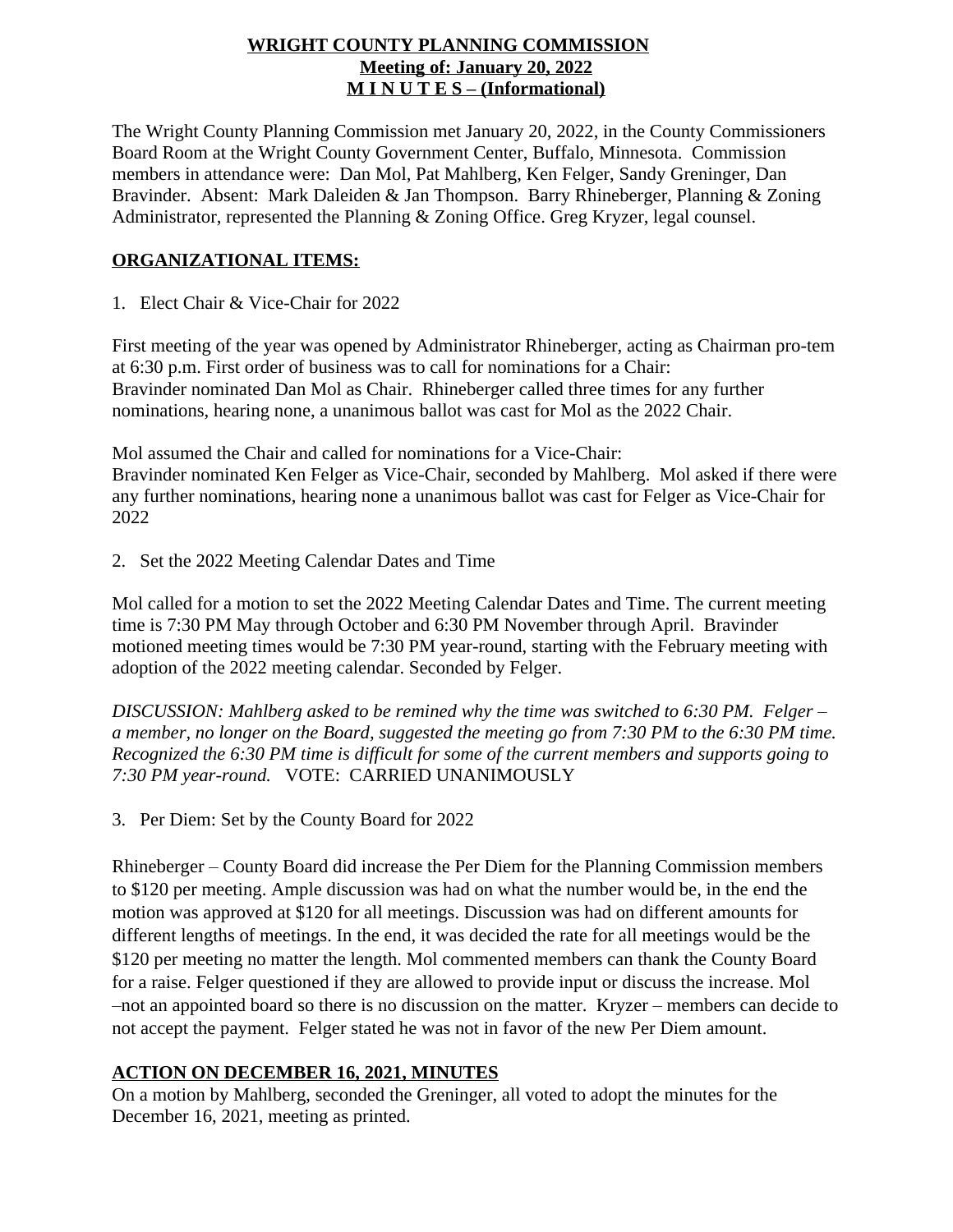## **WRIGHT COUNTY PLANNING COMMISSION Meeting of: January 20, 2022 M I N U T E S – (Informational)**

The Wright County Planning Commission met January 20, 2022, in the County Commissioners Board Room at the Wright County Government Center, Buffalo, Minnesota. Commission members in attendance were: Dan Mol, Pat Mahlberg, Ken Felger, Sandy Greninger, Dan Bravinder. Absent: Mark Daleiden & Jan Thompson. Barry Rhineberger, Planning & Zoning Administrator, represented the Planning & Zoning Office. Greg Kryzer, legal counsel.

# **ORGANIZATIONAL ITEMS:**

1. Elect Chair & Vice-Chair for 2022

First meeting of the year was opened by Administrator Rhineberger, acting as Chairman pro-tem at 6:30 p.m. First order of business was to call for nominations for a Chair: Bravinder nominated Dan Mol as Chair. Rhineberger called three times for any further nominations, hearing none, a unanimous ballot was cast for Mol as the 2022 Chair.

Mol assumed the Chair and called for nominations for a Vice-Chair: Bravinder nominated Ken Felger as Vice-Chair, seconded by Mahlberg. Mol asked if there were any further nominations, hearing none a unanimous ballot was cast for Felger as Vice-Chair for 2022

2. Set the 2022 Meeting Calendar Dates and Time

Mol called for a motion to set the 2022 Meeting Calendar Dates and Time. The current meeting time is 7:30 PM May through October and 6:30 PM November through April. Bravinder motioned meeting times would be 7:30 PM year-round, starting with the February meeting with adoption of the 2022 meeting calendar. Seconded by Felger.

*DISCUSSION: Mahlberg asked to be remined why the time was switched to 6:30 PM. Felger – a member, no longer on the Board, suggested the meeting go from 7:30 PM to the 6:30 PM time. Recognized the 6:30 PM time is difficult for some of the current members and supports going to 7:30 PM year-round.* VOTE: CARRIED UNANIMOUSLY

3. Per Diem: Set by the County Board for 2022

Rhineberger – County Board did increase the Per Diem for the Planning Commission members to \$120 per meeting. Ample discussion was had on what the number would be, in the end the motion was approved at \$120 for all meetings. Discussion was had on different amounts for different lengths of meetings. In the end, it was decided the rate for all meetings would be the \$120 per meeting no matter the length. Mol commented members can thank the County Board for a raise. Felger questioned if they are allowed to provide input or discuss the increase. Mol –not an appointed board so there is no discussion on the matter. Kryzer – members can decide to not accept the payment. Felger stated he was not in favor of the new Per Diem amount.

## **ACTION ON DECEMBER 16, 2021, MINUTES**

On a motion by Mahlberg, seconded the Greninger, all voted to adopt the minutes for the December 16, 2021, meeting as printed.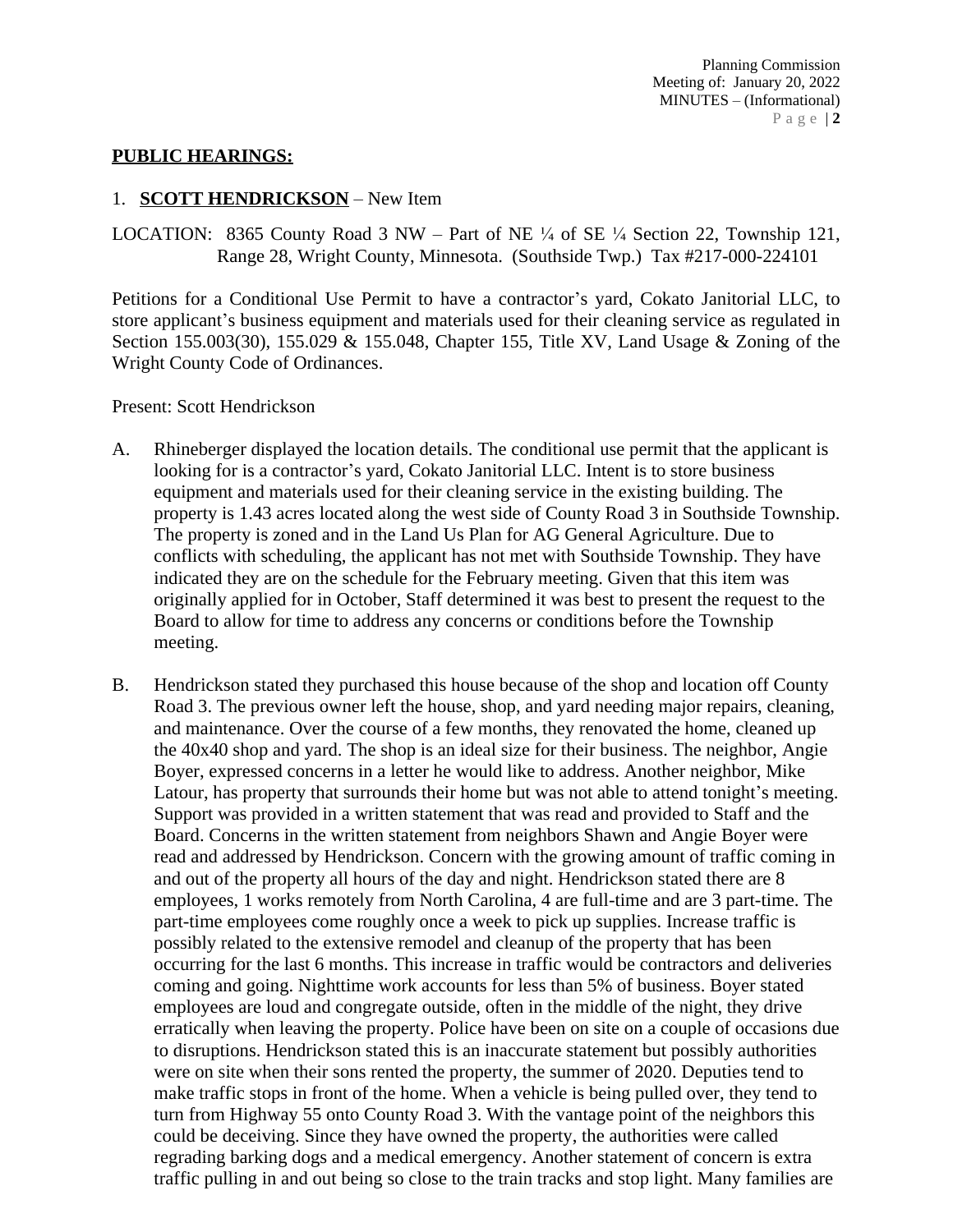#### **PUBLIC HEARINGS:**

#### 1. **SCOTT HENDRICKSON** – New Item

LOCATION: 8365 County Road 3 NW – Part of NE  $\frac{1}{4}$  of SE  $\frac{1}{4}$  Section 22, Township 121, Range 28, Wright County, Minnesota. (Southside Twp.) Tax #217-000-224101

Petitions for a Conditional Use Permit to have a contractor's yard, Cokato Janitorial LLC, to store applicant's business equipment and materials used for their cleaning service as regulated in Section 155.003(30), 155.029 & 155.048, Chapter 155, Title XV, Land Usage & Zoning of the Wright County Code of Ordinances.

Present: Scott Hendrickson

- A. Rhineberger displayed the location details. The conditional use permit that the applicant is looking for is a contractor's yard, Cokato Janitorial LLC. Intent is to store business equipment and materials used for their cleaning service in the existing building. The property is 1.43 acres located along the west side of County Road 3 in Southside Township. The property is zoned and in the Land Us Plan for AG General Agriculture. Due to conflicts with scheduling, the applicant has not met with Southside Township. They have indicated they are on the schedule for the February meeting. Given that this item was originally applied for in October, Staff determined it was best to present the request to the Board to allow for time to address any concerns or conditions before the Township meeting.
- B. Hendrickson stated they purchased this house because of the shop and location off County Road 3. The previous owner left the house, shop, and yard needing major repairs, cleaning, and maintenance. Over the course of a few months, they renovated the home, cleaned up the 40x40 shop and yard. The shop is an ideal size for their business. The neighbor, Angie Boyer, expressed concerns in a letter he would like to address. Another neighbor, Mike Latour, has property that surrounds their home but was not able to attend tonight's meeting. Support was provided in a written statement that was read and provided to Staff and the Board. Concerns in the written statement from neighbors Shawn and Angie Boyer were read and addressed by Hendrickson. Concern with the growing amount of traffic coming in and out of the property all hours of the day and night. Hendrickson stated there are 8 employees, 1 works remotely from North Carolina, 4 are full-time and are 3 part-time. The part-time employees come roughly once a week to pick up supplies. Increase traffic is possibly related to the extensive remodel and cleanup of the property that has been occurring for the last 6 months. This increase in traffic would be contractors and deliveries coming and going. Nighttime work accounts for less than 5% of business. Boyer stated employees are loud and congregate outside, often in the middle of the night, they drive erratically when leaving the property. Police have been on site on a couple of occasions due to disruptions. Hendrickson stated this is an inaccurate statement but possibly authorities were on site when their sons rented the property, the summer of 2020. Deputies tend to make traffic stops in front of the home. When a vehicle is being pulled over, they tend to turn from Highway 55 onto County Road 3. With the vantage point of the neighbors this could be deceiving. Since they have owned the property, the authorities were called regrading barking dogs and a medical emergency. Another statement of concern is extra traffic pulling in and out being so close to the train tracks and stop light. Many families are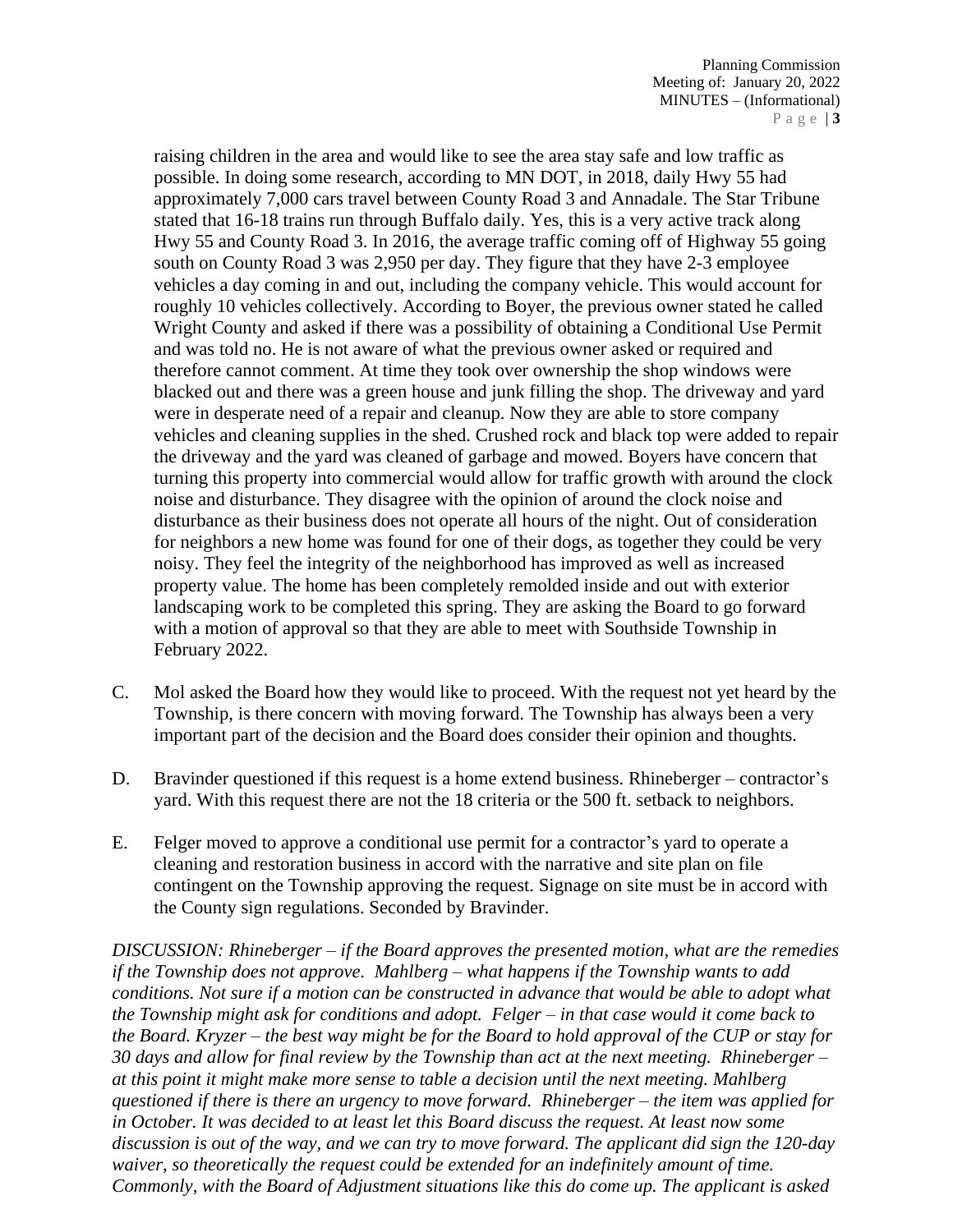raising children in the area and would like to see the area stay safe and low traffic as possible. In doing some research, according to MN DOT, in 2018, daily Hwy 55 had approximately 7,000 cars travel between County Road 3 and Annadale. The Star Tribune stated that 16-18 trains run through Buffalo daily. Yes, this is a very active track along Hwy 55 and County Road 3. In 2016, the average traffic coming off of Highway 55 going south on County Road 3 was 2,950 per day. They figure that they have 2-3 employee vehicles a day coming in and out, including the company vehicle. This would account for roughly 10 vehicles collectively. According to Boyer, the previous owner stated he called Wright County and asked if there was a possibility of obtaining a Conditional Use Permit and was told no. He is not aware of what the previous owner asked or required and therefore cannot comment. At time they took over ownership the shop windows were blacked out and there was a green house and junk filling the shop. The driveway and yard were in desperate need of a repair and cleanup. Now they are able to store company vehicles and cleaning supplies in the shed. Crushed rock and black top were added to repair the driveway and the yard was cleaned of garbage and mowed. Boyers have concern that turning this property into commercial would allow for traffic growth with around the clock noise and disturbance. They disagree with the opinion of around the clock noise and disturbance as their business does not operate all hours of the night. Out of consideration for neighbors a new home was found for one of their dogs, as together they could be very noisy. They feel the integrity of the neighborhood has improved as well as increased property value. The home has been completely remolded inside and out with exterior landscaping work to be completed this spring. They are asking the Board to go forward with a motion of approval so that they are able to meet with Southside Township in February 2022.

- C. Mol asked the Board how they would like to proceed. With the request not yet heard by the Township, is there concern with moving forward. The Township has always been a very important part of the decision and the Board does consider their opinion and thoughts.
- D. Bravinder questioned if this request is a home extend business. Rhineberger contractor's yard. With this request there are not the 18 criteria or the 500 ft. setback to neighbors.
- E. Felger moved to approve a conditional use permit for a contractor's yard to operate a cleaning and restoration business in accord with the narrative and site plan on file contingent on the Township approving the request. Signage on site must be in accord with the County sign regulations. Seconded by Bravinder.

*DISCUSSION: Rhineberger – if the Board approves the presented motion, what are the remedies if the Township does not approve. Mahlberg – what happens if the Township wants to add conditions. Not sure if a motion can be constructed in advance that would be able to adopt what the Township might ask for conditions and adopt. Felger – in that case would it come back to the Board. Kryzer – the best way might be for the Board to hold approval of the CUP or stay for 30 days and allow for final review by the Township than act at the next meeting. Rhineberger – at this point it might make more sense to table a decision until the next meeting. Mahlberg questioned if there is there an urgency to move forward. Rhineberger – the item was applied for in October. It was decided to at least let this Board discuss the request. At least now some discussion is out of the way, and we can try to move forward. The applicant did sign the 120-day waiver, so theoretically the request could be extended for an indefinitely amount of time. Commonly, with the Board of Adjustment situations like this do come up. The applicant is asked*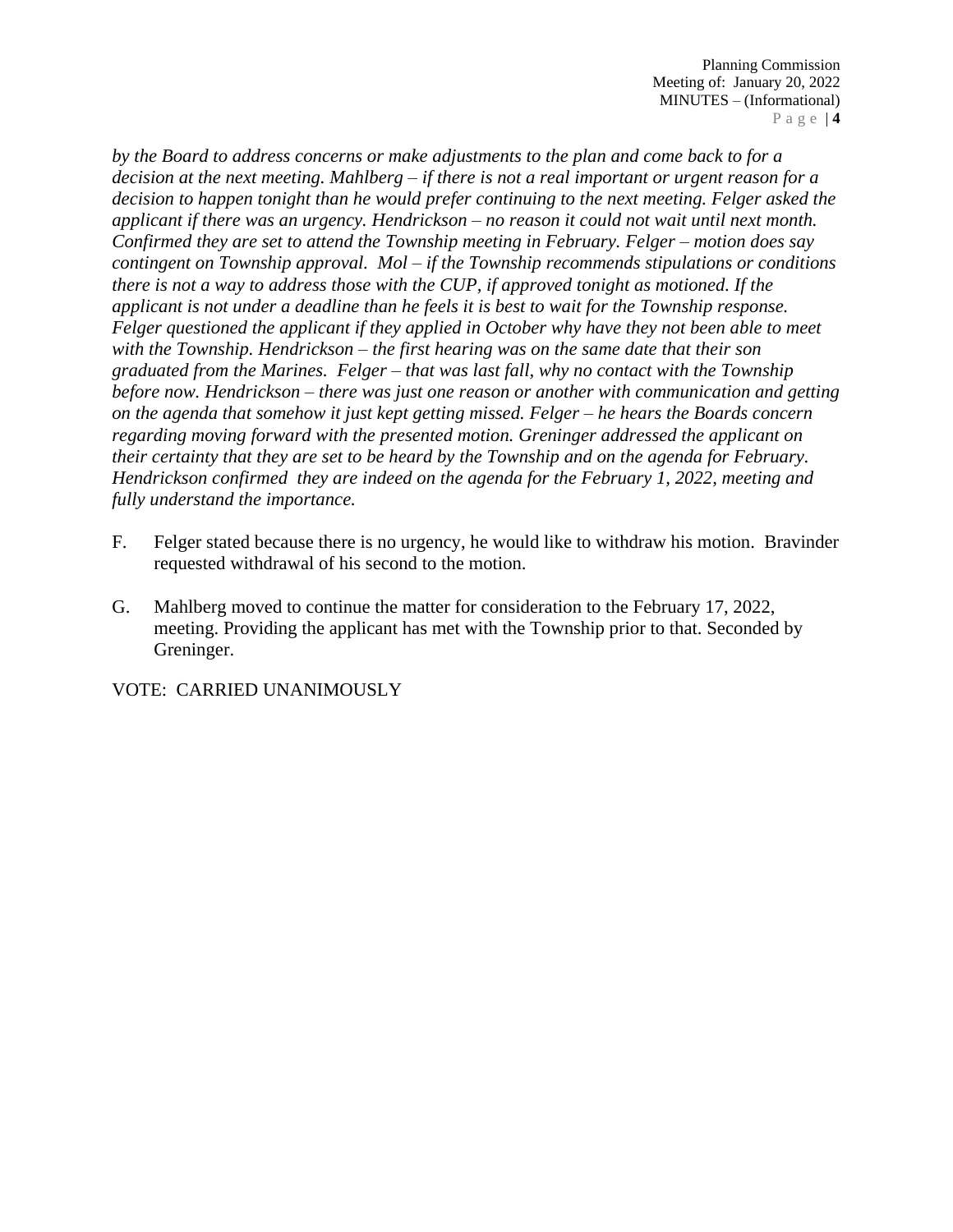*by the Board to address concerns or make adjustments to the plan and come back to for a decision at the next meeting. Mahlberg – if there is not a real important or urgent reason for a decision to happen tonight than he would prefer continuing to the next meeting. Felger asked the applicant if there was an urgency. Hendrickson – no reason it could not wait until next month. Confirmed they are set to attend the Township meeting in February. Felger – motion does say contingent on Township approval. Mol – if the Township recommends stipulations or conditions there is not a way to address those with the CUP, if approved tonight as motioned. If the applicant is not under a deadline than he feels it is best to wait for the Township response. Felger questioned the applicant if they applied in October why have they not been able to meet with the Township. Hendrickson – the first hearing was on the same date that their son graduated from the Marines. Felger – that was last fall, why no contact with the Township before now. Hendrickson – there was just one reason or another with communication and getting on the agenda that somehow it just kept getting missed. Felger – he hears the Boards concern regarding moving forward with the presented motion. Greninger addressed the applicant on their certainty that they are set to be heard by the Township and on the agenda for February. Hendrickson confirmed they are indeed on the agenda for the February 1, 2022, meeting and fully understand the importance.* 

- F. Felger stated because there is no urgency, he would like to withdraw his motion. Bravinder requested withdrawal of his second to the motion.
- G. Mahlberg moved to continue the matter for consideration to the February 17, 2022, meeting. Providing the applicant has met with the Township prior to that. Seconded by Greninger.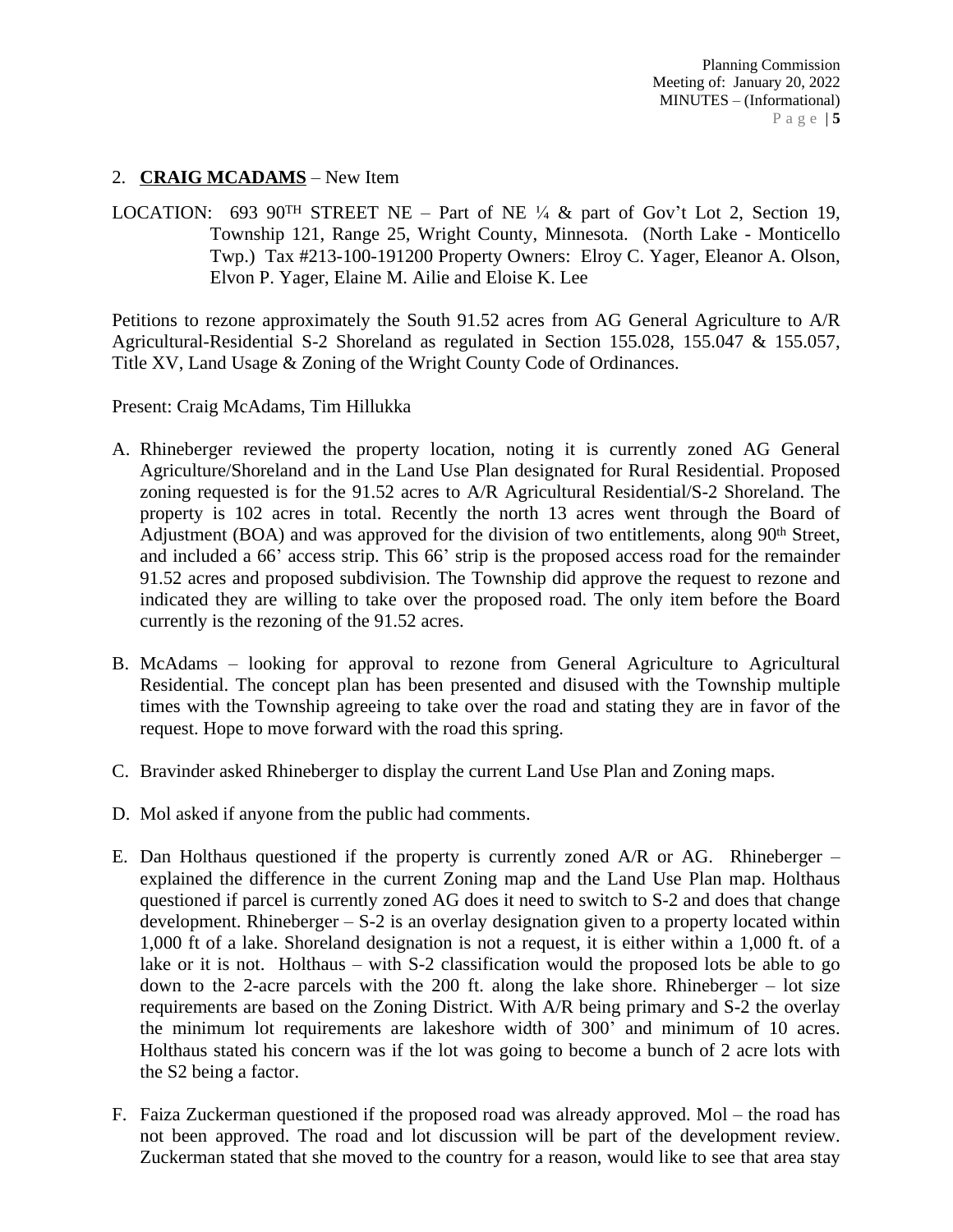## 2. **CRAIG MCADAMS** – New Item

LOCATION: 693 90<sup>TH</sup> STREET NE – Part of NE  $\frac{1}{4}$  & part of Gov't Lot 2, Section 19, Township 121, Range 25, Wright County, Minnesota. (North Lake - Monticello Twp.) Tax #213-100-191200 Property Owners: Elroy C. Yager, Eleanor A. Olson, Elvon P. Yager, Elaine M. Ailie and Eloise K. Lee

Petitions to rezone approximately the South 91.52 acres from AG General Agriculture to A/R Agricultural-Residential S-2 Shoreland as regulated in Section 155.028, 155.047 & 155.057, Title XV, Land Usage & Zoning of the Wright County Code of Ordinances.

Present: Craig McAdams, Tim Hillukka

- A. Rhineberger reviewed the property location, noting it is currently zoned AG General Agriculture/Shoreland and in the Land Use Plan designated for Rural Residential. Proposed zoning requested is for the 91.52 acres to A/R Agricultural Residential/S-2 Shoreland. The property is 102 acres in total. Recently the north 13 acres went through the Board of Adjustment (BOA) and was approved for the division of two entitlements, along 90<sup>th</sup> Street, and included a 66' access strip. This 66' strip is the proposed access road for the remainder 91.52 acres and proposed subdivision. The Township did approve the request to rezone and indicated they are willing to take over the proposed road. The only item before the Board currently is the rezoning of the 91.52 acres.
- B. McAdams looking for approval to rezone from General Agriculture to Agricultural Residential. The concept plan has been presented and disused with the Township multiple times with the Township agreeing to take over the road and stating they are in favor of the request. Hope to move forward with the road this spring.
- C. Bravinder asked Rhineberger to display the current Land Use Plan and Zoning maps.
- D. Mol asked if anyone from the public had comments.
- E. Dan Holthaus questioned if the property is currently zoned A/R or AG. Rhineberger explained the difference in the current Zoning map and the Land Use Plan map. Holthaus questioned if parcel is currently zoned AG does it need to switch to S-2 and does that change development. Rhineberger – S-2 is an overlay designation given to a property located within 1,000 ft of a lake. Shoreland designation is not a request, it is either within a 1,000 ft. of a lake or it is not. Holthaus – with S-2 classification would the proposed lots be able to go down to the 2-acre parcels with the 200 ft. along the lake shore. Rhineberger – lot size requirements are based on the Zoning District. With A/R being primary and S-2 the overlay the minimum lot requirements are lakeshore width of 300' and minimum of 10 acres. Holthaus stated his concern was if the lot was going to become a bunch of 2 acre lots with the S2 being a factor.
- F. Faiza Zuckerman questioned if the proposed road was already approved. Mol the road has not been approved. The road and lot discussion will be part of the development review. Zuckerman stated that she moved to the country for a reason, would like to see that area stay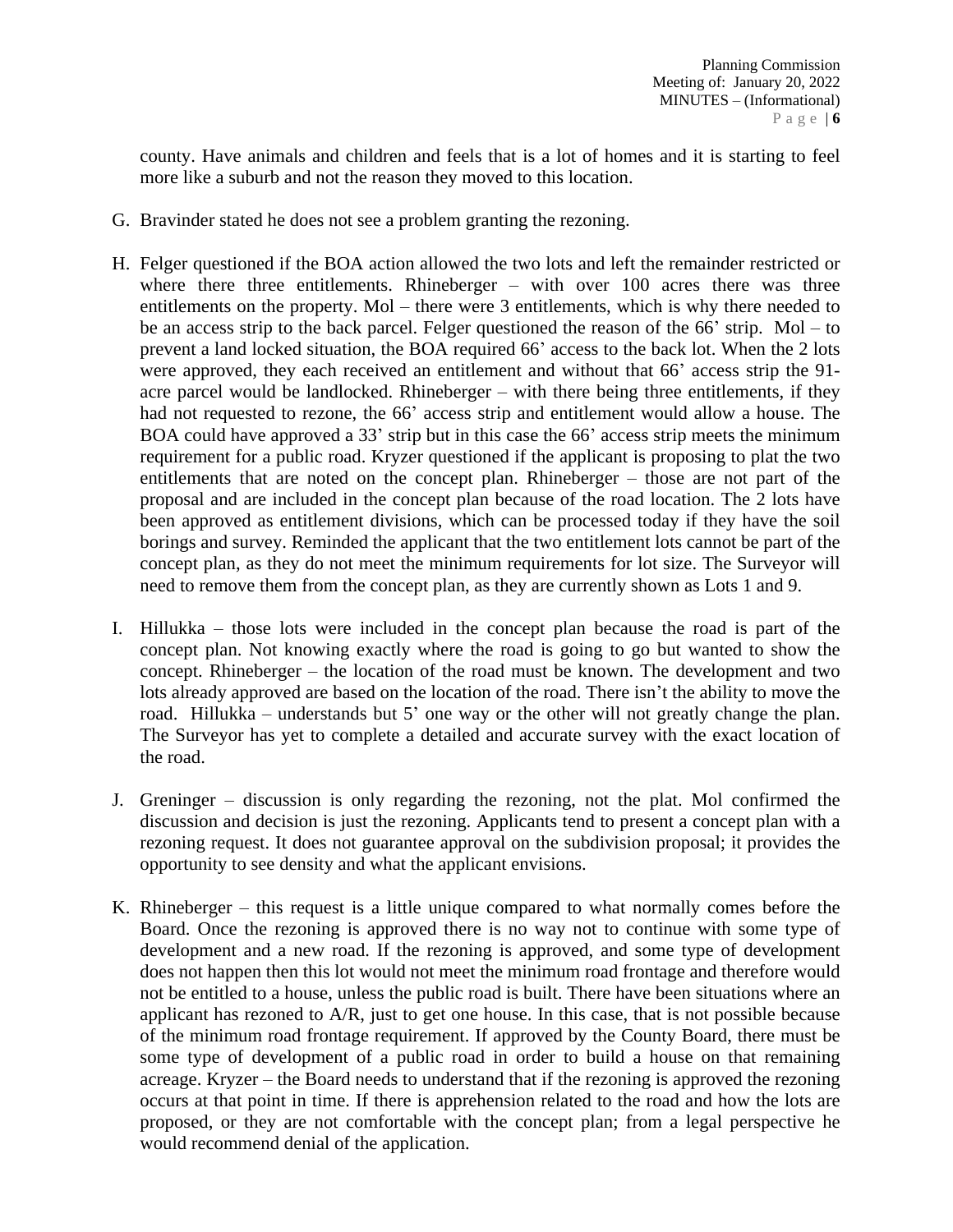county. Have animals and children and feels that is a lot of homes and it is starting to feel more like a suburb and not the reason they moved to this location.

- G. Bravinder stated he does not see a problem granting the rezoning.
- H. Felger questioned if the BOA action allowed the two lots and left the remainder restricted or where there three entitlements. Rhineberger – with over 100 acres there was three entitlements on the property. Mol – there were 3 entitlements, which is why there needed to be an access strip to the back parcel. Felger questioned the reason of the 66' strip. Mol – to prevent a land locked situation, the BOA required 66' access to the back lot. When the 2 lots were approved, they each received an entitlement and without that 66' access strip the 91 acre parcel would be landlocked. Rhineberger – with there being three entitlements, if they had not requested to rezone, the 66' access strip and entitlement would allow a house. The BOA could have approved a 33' strip but in this case the 66' access strip meets the minimum requirement for a public road. Kryzer questioned if the applicant is proposing to plat the two entitlements that are noted on the concept plan. Rhineberger – those are not part of the proposal and are included in the concept plan because of the road location. The 2 lots have been approved as entitlement divisions, which can be processed today if they have the soil borings and survey. Reminded the applicant that the two entitlement lots cannot be part of the concept plan, as they do not meet the minimum requirements for lot size. The Surveyor will need to remove them from the concept plan, as they are currently shown as Lots 1 and 9.
- I. Hillukka those lots were included in the concept plan because the road is part of the concept plan. Not knowing exactly where the road is going to go but wanted to show the concept. Rhineberger – the location of the road must be known. The development and two lots already approved are based on the location of the road. There isn't the ability to move the road. Hillukka – understands but 5' one way or the other will not greatly change the plan. The Surveyor has yet to complete a detailed and accurate survey with the exact location of the road.
- J. Greninger discussion is only regarding the rezoning, not the plat. Mol confirmed the discussion and decision is just the rezoning. Applicants tend to present a concept plan with a rezoning request. It does not guarantee approval on the subdivision proposal; it provides the opportunity to see density and what the applicant envisions.
- K. Rhineberger this request is a little unique compared to what normally comes before the Board. Once the rezoning is approved there is no way not to continue with some type of development and a new road. If the rezoning is approved, and some type of development does not happen then this lot would not meet the minimum road frontage and therefore would not be entitled to a house, unless the public road is built. There have been situations where an applicant has rezoned to A/R, just to get one house. In this case, that is not possible because of the minimum road frontage requirement. If approved by the County Board, there must be some type of development of a public road in order to build a house on that remaining acreage. Kryzer – the Board needs to understand that if the rezoning is approved the rezoning occurs at that point in time. If there is apprehension related to the road and how the lots are proposed, or they are not comfortable with the concept plan; from a legal perspective he would recommend denial of the application.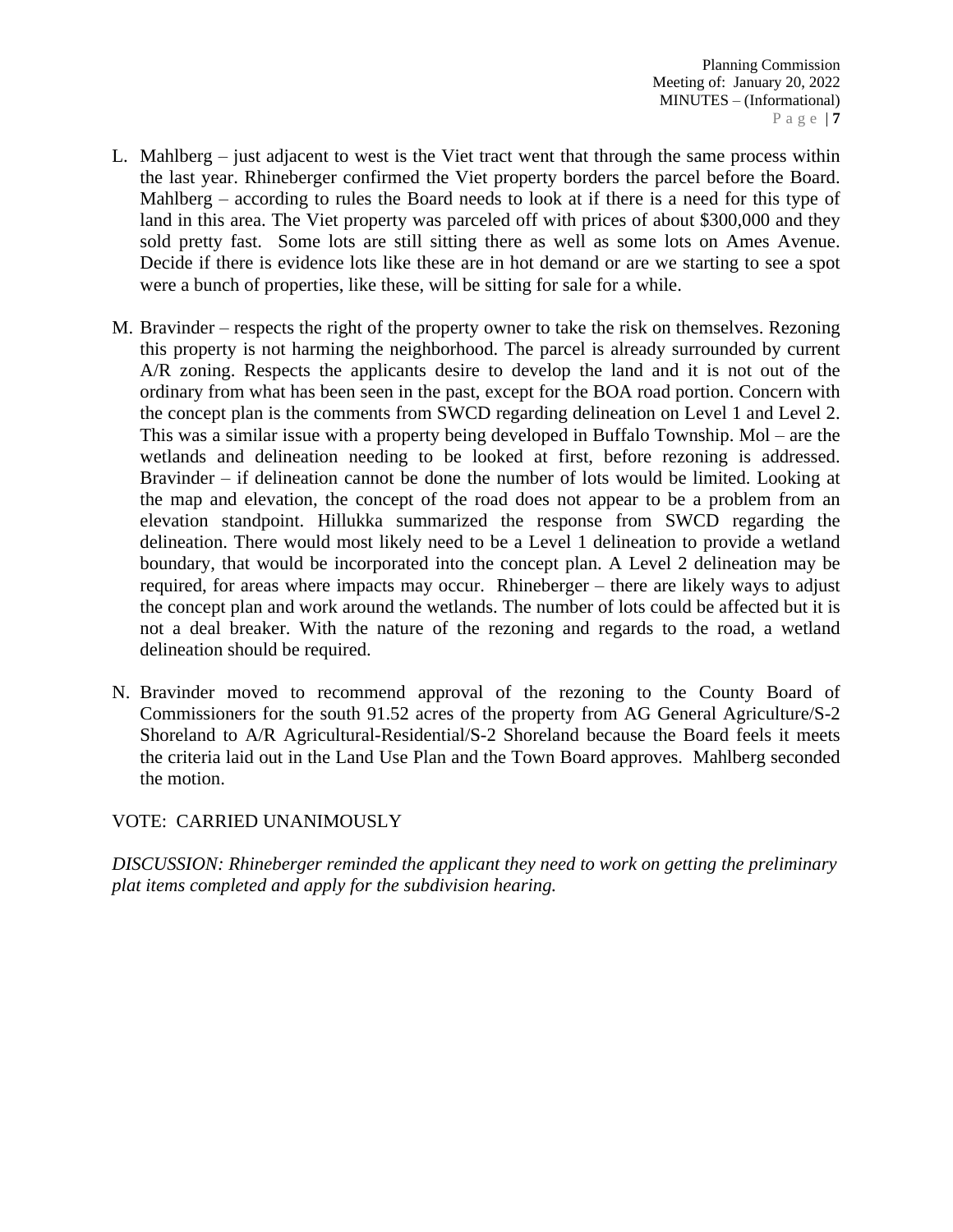- L. Mahlberg just adjacent to west is the Viet tract went that through the same process within the last year. Rhineberger confirmed the Viet property borders the parcel before the Board. Mahlberg – according to rules the Board needs to look at if there is a need for this type of land in this area. The Viet property was parceled off with prices of about \$300,000 and they sold pretty fast. Some lots are still sitting there as well as some lots on Ames Avenue. Decide if there is evidence lots like these are in hot demand or are we starting to see a spot were a bunch of properties, like these, will be sitting for sale for a while.
- M. Bravinder respects the right of the property owner to take the risk on themselves. Rezoning this property is not harming the neighborhood. The parcel is already surrounded by current A/R zoning. Respects the applicants desire to develop the land and it is not out of the ordinary from what has been seen in the past, except for the BOA road portion. Concern with the concept plan is the comments from SWCD regarding delineation on Level 1 and Level 2. This was a similar issue with a property being developed in Buffalo Township. Mol – are the wetlands and delineation needing to be looked at first, before rezoning is addressed. Bravinder – if delineation cannot be done the number of lots would be limited. Looking at the map and elevation, the concept of the road does not appear to be a problem from an elevation standpoint. Hillukka summarized the response from SWCD regarding the delineation. There would most likely need to be a Level 1 delineation to provide a wetland boundary, that would be incorporated into the concept plan. A Level 2 delineation may be required, for areas where impacts may occur. Rhineberger – there are likely ways to adjust the concept plan and work around the wetlands. The number of lots could be affected but it is not a deal breaker. With the nature of the rezoning and regards to the road, a wetland delineation should be required.
- N. Bravinder moved to recommend approval of the rezoning to the County Board of Commissioners for the south 91.52 acres of the property from AG General Agriculture/S-2 Shoreland to A/R Agricultural-Residential/S-2 Shoreland because the Board feels it meets the criteria laid out in the Land Use Plan and the Town Board approves. Mahlberg seconded the motion.

## VOTE: CARRIED UNANIMOUSLY

*DISCUSSION: Rhineberger reminded the applicant they need to work on getting the preliminary plat items completed and apply for the subdivision hearing.*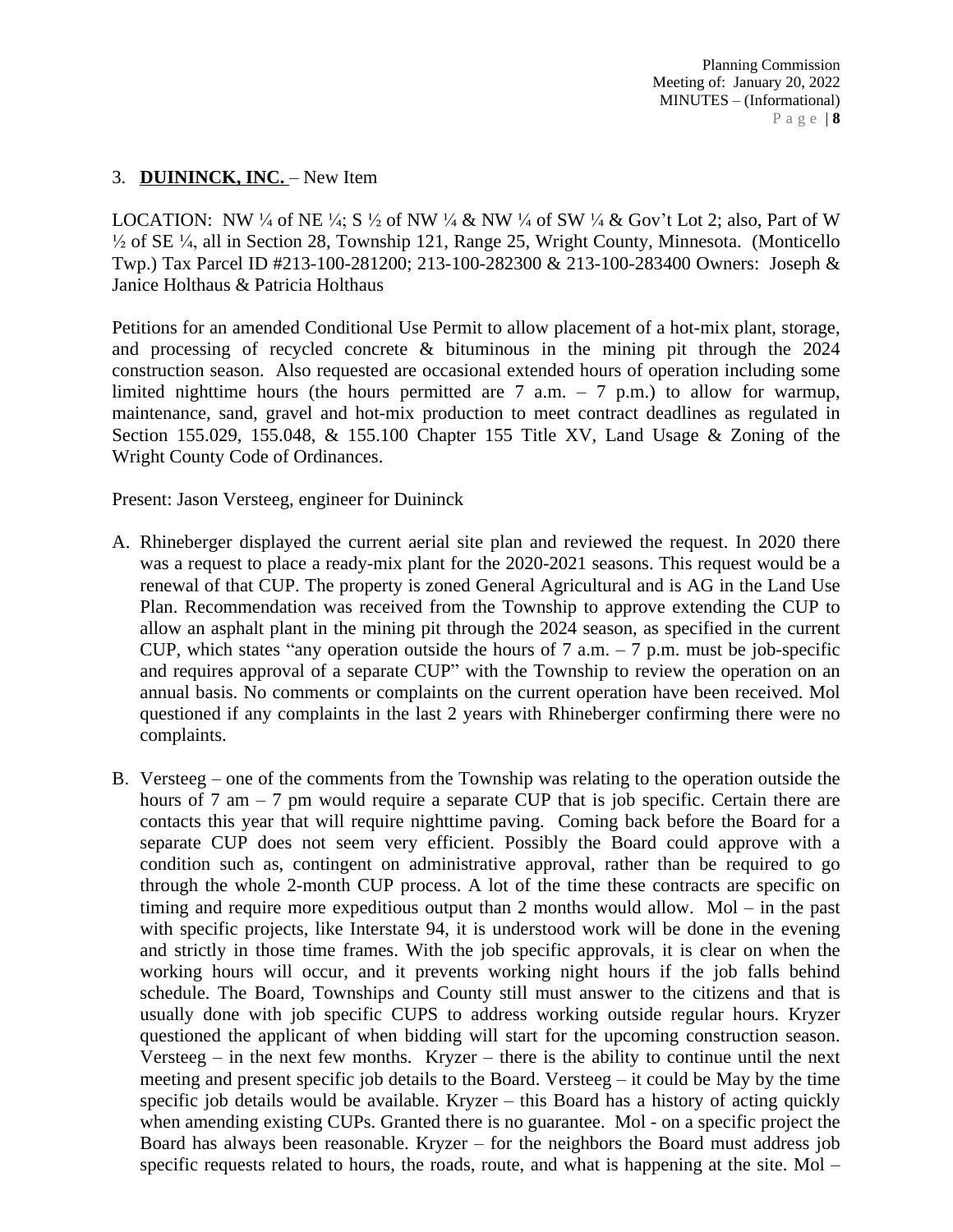## 3. **DUININCK, INC.** – New Item

LOCATION: NW ¼ of NE ¼; S ½ of NW ¼ & NW ¼ of SW ¼ & Gov't Lot 2; also, Part of W ½ of SE ¼, all in Section 28, Township 121, Range 25, Wright County, Minnesota. (Monticello Twp.) Tax Parcel ID #213-100-281200; 213-100-282300 & 213-100-283400 Owners: Joseph & Janice Holthaus & Patricia Holthaus

Petitions for an amended Conditional Use Permit to allow placement of a hot-mix plant, storage, and processing of recycled concrete & bituminous in the mining pit through the 2024 construction season. Also requested are occasional extended hours of operation including some limited nighttime hours (the hours permitted are  $7$  a.m.  $-7$  p.m.) to allow for warmup, maintenance, sand, gravel and hot-mix production to meet contract deadlines as regulated in Section 155.029, 155.048, & 155.100 Chapter 155 Title XV, Land Usage & Zoning of the Wright County Code of Ordinances.

Present: Jason Versteeg, engineer for Duininck

- A. Rhineberger displayed the current aerial site plan and reviewed the request. In 2020 there was a request to place a ready-mix plant for the 2020-2021 seasons. This request would be a renewal of that CUP. The property is zoned General Agricultural and is AG in the Land Use Plan. Recommendation was received from the Township to approve extending the CUP to allow an asphalt plant in the mining pit through the 2024 season, as specified in the current CUP, which states "any operation outside the hours of  $7 \text{ a.m.} - 7 \text{ p.m.}$  must be job-specific and requires approval of a separate CUP" with the Township to review the operation on an annual basis. No comments or complaints on the current operation have been received. Mol questioned if any complaints in the last 2 years with Rhineberger confirming there were no complaints.
- B. Versteeg one of the comments from the Township was relating to the operation outside the hours of  $7 \text{ am } -7 \text{ pm}$  would require a separate CUP that is job specific. Certain there are contacts this year that will require nighttime paving. Coming back before the Board for a separate CUP does not seem very efficient. Possibly the Board could approve with a condition such as, contingent on administrative approval, rather than be required to go through the whole 2-month CUP process. A lot of the time these contracts are specific on timing and require more expeditious output than 2 months would allow. Mol – in the past with specific projects, like Interstate 94, it is understood work will be done in the evening and strictly in those time frames. With the job specific approvals, it is clear on when the working hours will occur, and it prevents working night hours if the job falls behind schedule. The Board, Townships and County still must answer to the citizens and that is usually done with job specific CUPS to address working outside regular hours. Kryzer questioned the applicant of when bidding will start for the upcoming construction season. Versteeg – in the next few months. Kryzer – there is the ability to continue until the next meeting and present specific job details to the Board. Versteeg – it could be May by the time specific job details would be available. Kryzer – this Board has a history of acting quickly when amending existing CUPs. Granted there is no guarantee. Mol - on a specific project the Board has always been reasonable. Kryzer – for the neighbors the Board must address job specific requests related to hours, the roads, route, and what is happening at the site. Mol –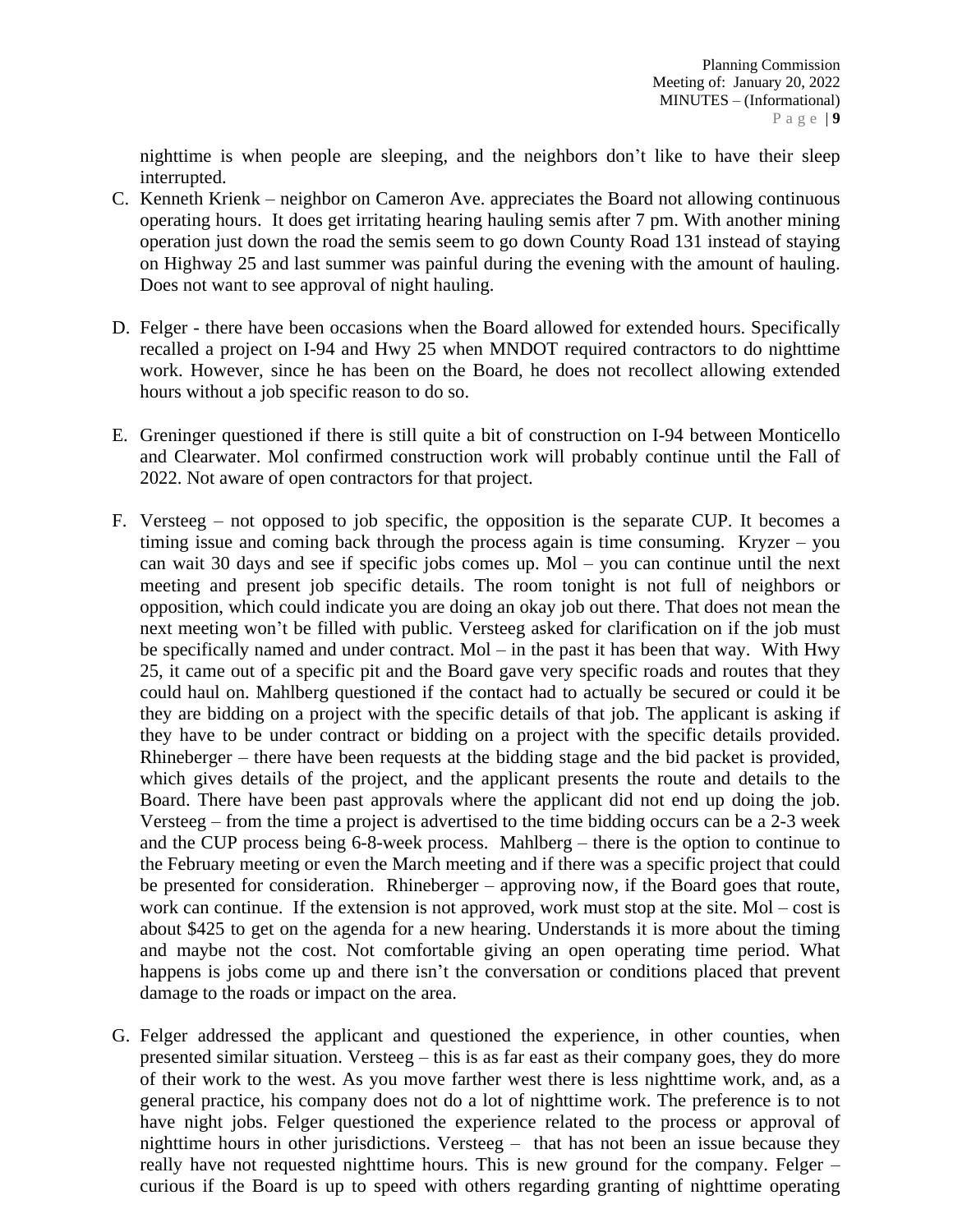nighttime is when people are sleeping, and the neighbors don't like to have their sleep interrupted.

- C. Kenneth Krienk neighbor on Cameron Ave. appreciates the Board not allowing continuous operating hours. It does get irritating hearing hauling semis after 7 pm. With another mining operation just down the road the semis seem to go down County Road 131 instead of staying on Highway 25 and last summer was painful during the evening with the amount of hauling. Does not want to see approval of night hauling.
- D. Felger there have been occasions when the Board allowed for extended hours. Specifically recalled a project on I-94 and Hwy 25 when MNDOT required contractors to do nighttime work. However, since he has been on the Board, he does not recollect allowing extended hours without a job specific reason to do so.
- E. Greninger questioned if there is still quite a bit of construction on I-94 between Monticello and Clearwater. Mol confirmed construction work will probably continue until the Fall of 2022. Not aware of open contractors for that project.
- F. Versteeg not opposed to job specific, the opposition is the separate CUP. It becomes a timing issue and coming back through the process again is time consuming. Kryzer – you can wait 30 days and see if specific jobs comes up. Mol – you can continue until the next meeting and present job specific details. The room tonight is not full of neighbors or opposition, which could indicate you are doing an okay job out there. That does not mean the next meeting won't be filled with public. Versteeg asked for clarification on if the job must be specifically named and under contract. Mol – in the past it has been that way. With Hwy 25, it came out of a specific pit and the Board gave very specific roads and routes that they could haul on. Mahlberg questioned if the contact had to actually be secured or could it be they are bidding on a project with the specific details of that job. The applicant is asking if they have to be under contract or bidding on a project with the specific details provided. Rhineberger – there have been requests at the bidding stage and the bid packet is provided, which gives details of the project, and the applicant presents the route and details to the Board. There have been past approvals where the applicant did not end up doing the job. Versteeg – from the time a project is advertised to the time bidding occurs can be a 2-3 week and the CUP process being 6-8-week process. Mahlberg – there is the option to continue to the February meeting or even the March meeting and if there was a specific project that could be presented for consideration. Rhineberger – approving now, if the Board goes that route, work can continue. If the extension is not approved, work must stop at the site. Mol – cost is about \$425 to get on the agenda for a new hearing. Understands it is more about the timing and maybe not the cost. Not comfortable giving an open operating time period. What happens is jobs come up and there isn't the conversation or conditions placed that prevent damage to the roads or impact on the area.
- G. Felger addressed the applicant and questioned the experience, in other counties, when presented similar situation. Versteeg – this is as far east as their company goes, they do more of their work to the west. As you move farther west there is less nighttime work, and, as a general practice, his company does not do a lot of nighttime work. The preference is to not have night jobs. Felger questioned the experience related to the process or approval of nighttime hours in other jurisdictions. Versteeg – that has not been an issue because they really have not requested nighttime hours. This is new ground for the company. Felger – curious if the Board is up to speed with others regarding granting of nighttime operating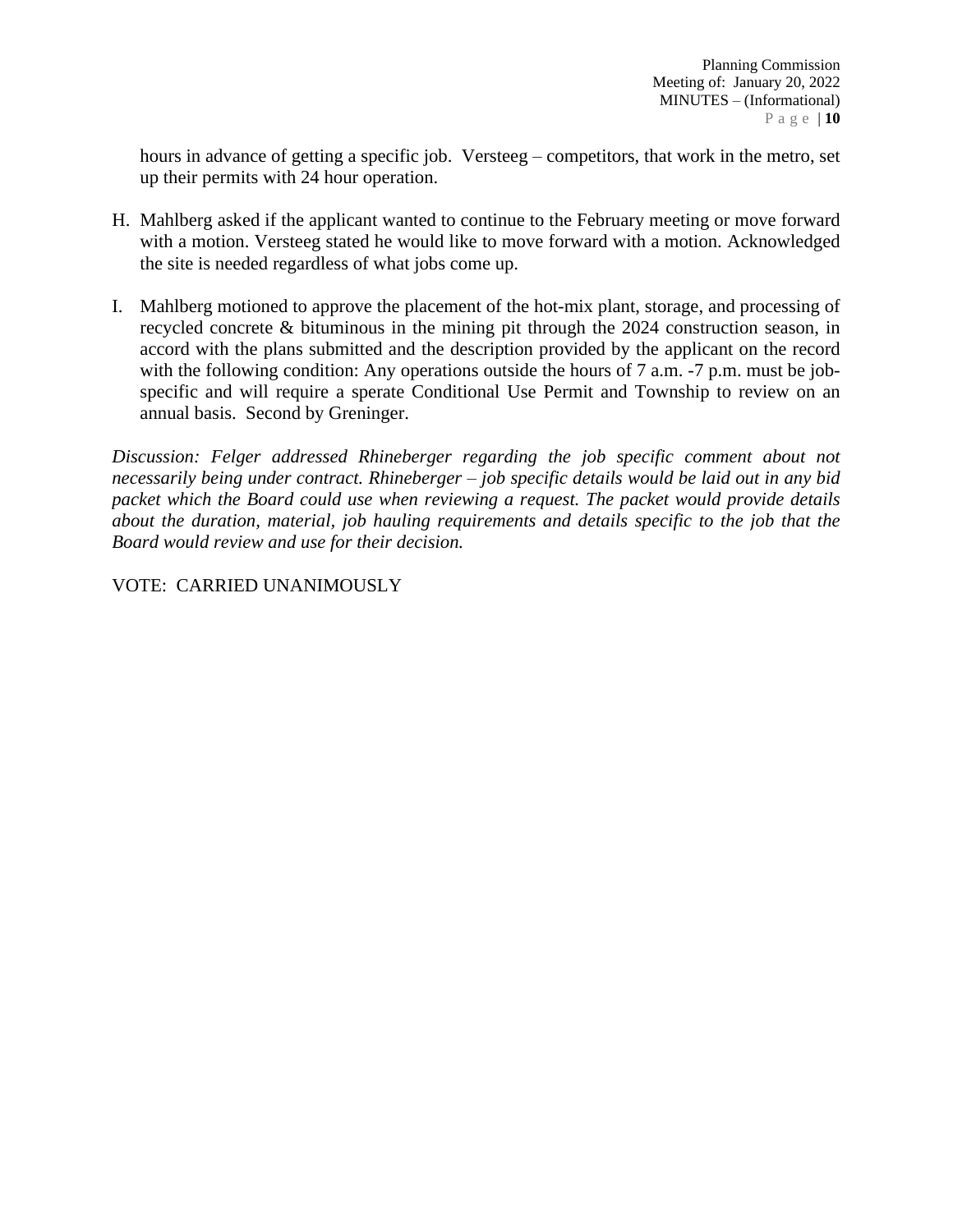hours in advance of getting a specific job. Versteeg – competitors, that work in the metro, set up their permits with 24 hour operation.

- H. Mahlberg asked if the applicant wanted to continue to the February meeting or move forward with a motion. Versteeg stated he would like to move forward with a motion. Acknowledged the site is needed regardless of what jobs come up.
- I. Mahlberg motioned to approve the placement of the hot-mix plant, storage, and processing of recycled concrete & bituminous in the mining pit through the 2024 construction season, in accord with the plans submitted and the description provided by the applicant on the record with the following condition: Any operations outside the hours of 7 a.m. -7 p.m. must be jobspecific and will require a sperate Conditional Use Permit and Township to review on an annual basis. Second by Greninger.

*Discussion: Felger addressed Rhineberger regarding the job specific comment about not necessarily being under contract. Rhineberger – job specific details would be laid out in any bid packet which the Board could use when reviewing a request. The packet would provide details about the duration, material, job hauling requirements and details specific to the job that the Board would review and use for their decision.*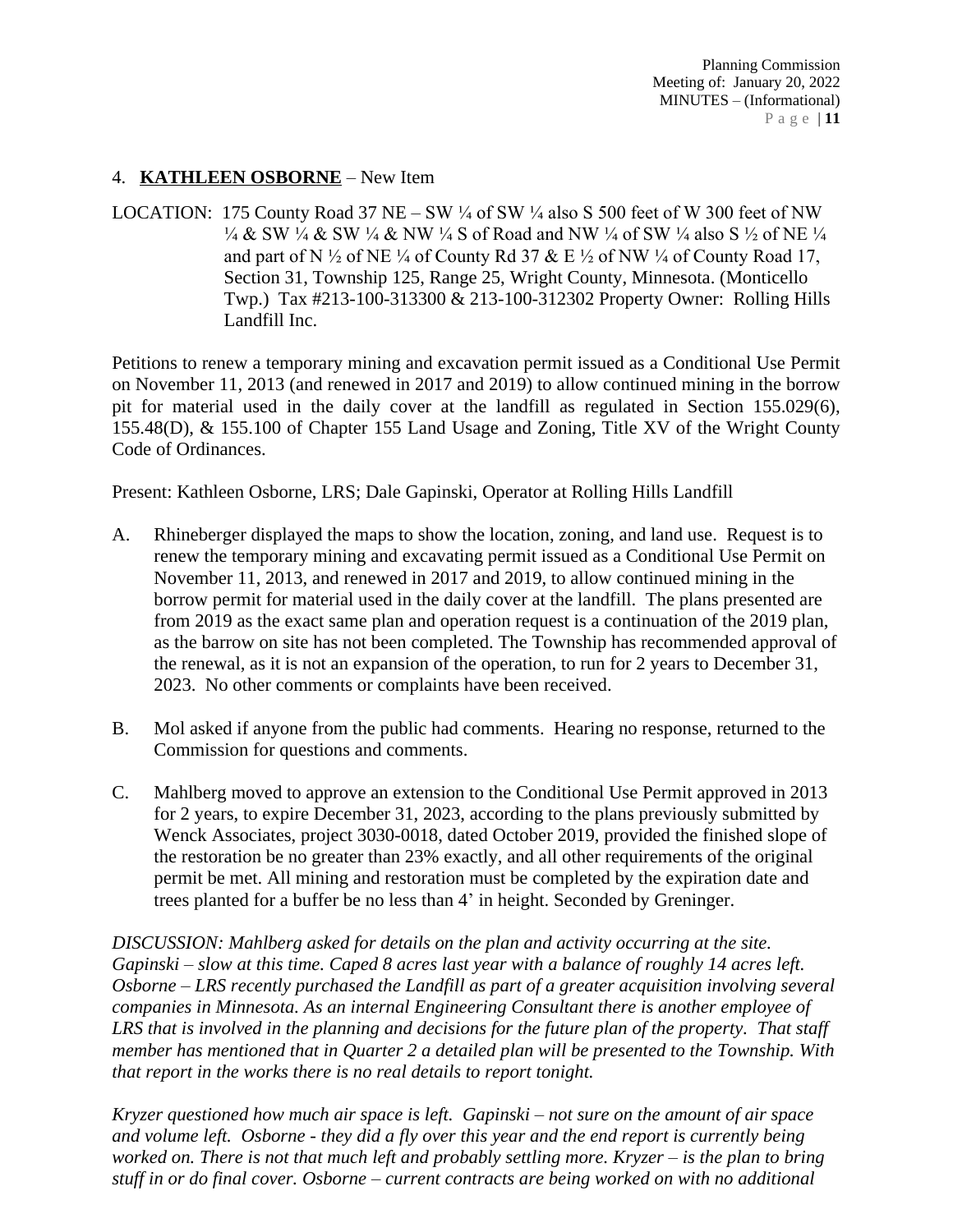## 4. **KATHLEEN OSBORNE** – New Item

LOCATION: 175 County Road 37 NE – SW  $\frac{1}{4}$  of SW  $\frac{1}{4}$  also S 500 feet of W 300 feet of NW ¼ & SW ¼ & SW ¼ & NW ¼ S of Road and NW ¼ of SW ¼ also S ½ of NE ¼ and part of N  $\frac{1}{2}$  of NE  $\frac{1}{4}$  of County Rd 37 & E  $\frac{1}{2}$  of NW  $\frac{1}{4}$  of County Road 17, Section 31, Township 125, Range 25, Wright County, Minnesota. (Monticello Twp.) Tax #213-100-313300 & 213-100-312302 Property Owner: Rolling Hills Landfill Inc.

Petitions to renew a temporary mining and excavation permit issued as a Conditional Use Permit on November 11, 2013 (and renewed in 2017 and 2019) to allow continued mining in the borrow pit for material used in the daily cover at the landfill as regulated in Section 155.029(6), 155.48(D), & 155.100 of Chapter 155 Land Usage and Zoning, Title XV of the Wright County Code of Ordinances.

Present: Kathleen Osborne, LRS; Dale Gapinski, Operator at Rolling Hills Landfill

- A. Rhineberger displayed the maps to show the location, zoning, and land use. Request is to renew the temporary mining and excavating permit issued as a Conditional Use Permit on November 11, 2013, and renewed in 2017 and 2019, to allow continued mining in the borrow permit for material used in the daily cover at the landfill. The plans presented are from 2019 as the exact same plan and operation request is a continuation of the 2019 plan, as the barrow on site has not been completed. The Township has recommended approval of the renewal, as it is not an expansion of the operation, to run for 2 years to December 31, 2023. No other comments or complaints have been received.
- B. Mol asked if anyone from the public had comments. Hearing no response, returned to the Commission for questions and comments.
- C. Mahlberg moved to approve an extension to the Conditional Use Permit approved in 2013 for 2 years, to expire December 31, 2023, according to the plans previously submitted by Wenck Associates, project 3030-0018, dated October 2019, provided the finished slope of the restoration be no greater than 23% exactly, and all other requirements of the original permit be met. All mining and restoration must be completed by the expiration date and trees planted for a buffer be no less than 4' in height. Seconded by Greninger.

*DISCUSSION: Mahlberg asked for details on the plan and activity occurring at the site. Gapinski – slow at this time. Caped 8 acres last year with a balance of roughly 14 acres left. Osborne – LRS recently purchased the Landfill as part of a greater acquisition involving several companies in Minnesota. As an internal Engineering Consultant there is another employee of LRS that is involved in the planning and decisions for the future plan of the property. That staff member has mentioned that in Quarter 2 a detailed plan will be presented to the Township. With that report in the works there is no real details to report tonight.* 

*Kryzer questioned how much air space is left. Gapinski – not sure on the amount of air space and volume left. Osborne - they did a fly over this year and the end report is currently being worked on. There is not that much left and probably settling more. Kryzer – is the plan to bring stuff in or do final cover. Osborne – current contracts are being worked on with no additional*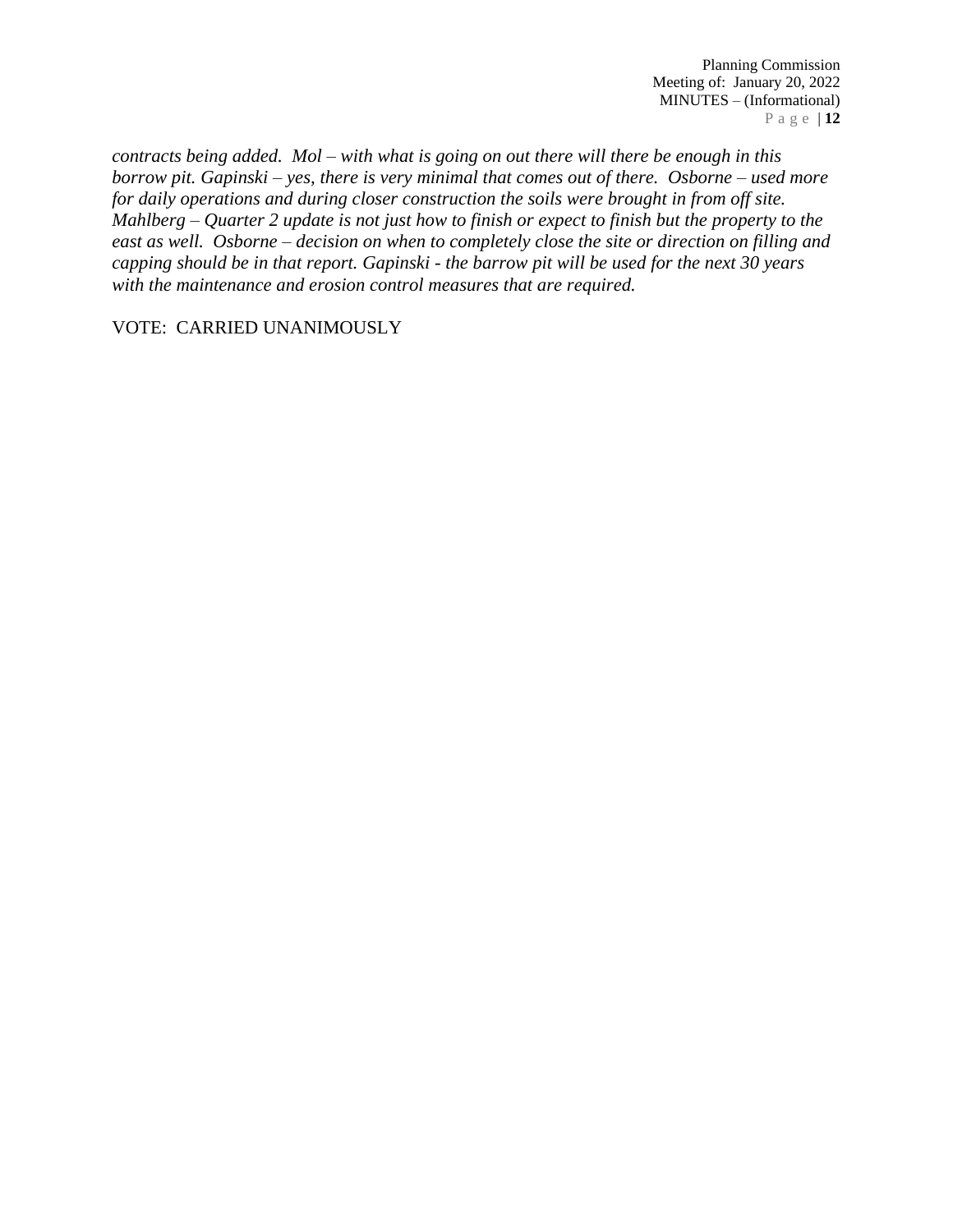*contracts being added. Mol – with what is going on out there will there be enough in this borrow pit. Gapinski – yes, there is very minimal that comes out of there. Osborne – used more for daily operations and during closer construction the soils were brought in from off site. Mahlberg – Quarter 2 update is not just how to finish or expect to finish but the property to the east as well. Osborne – decision on when to completely close the site or direction on filling and capping should be in that report. Gapinski - the barrow pit will be used for the next 30 years with the maintenance and erosion control measures that are required.*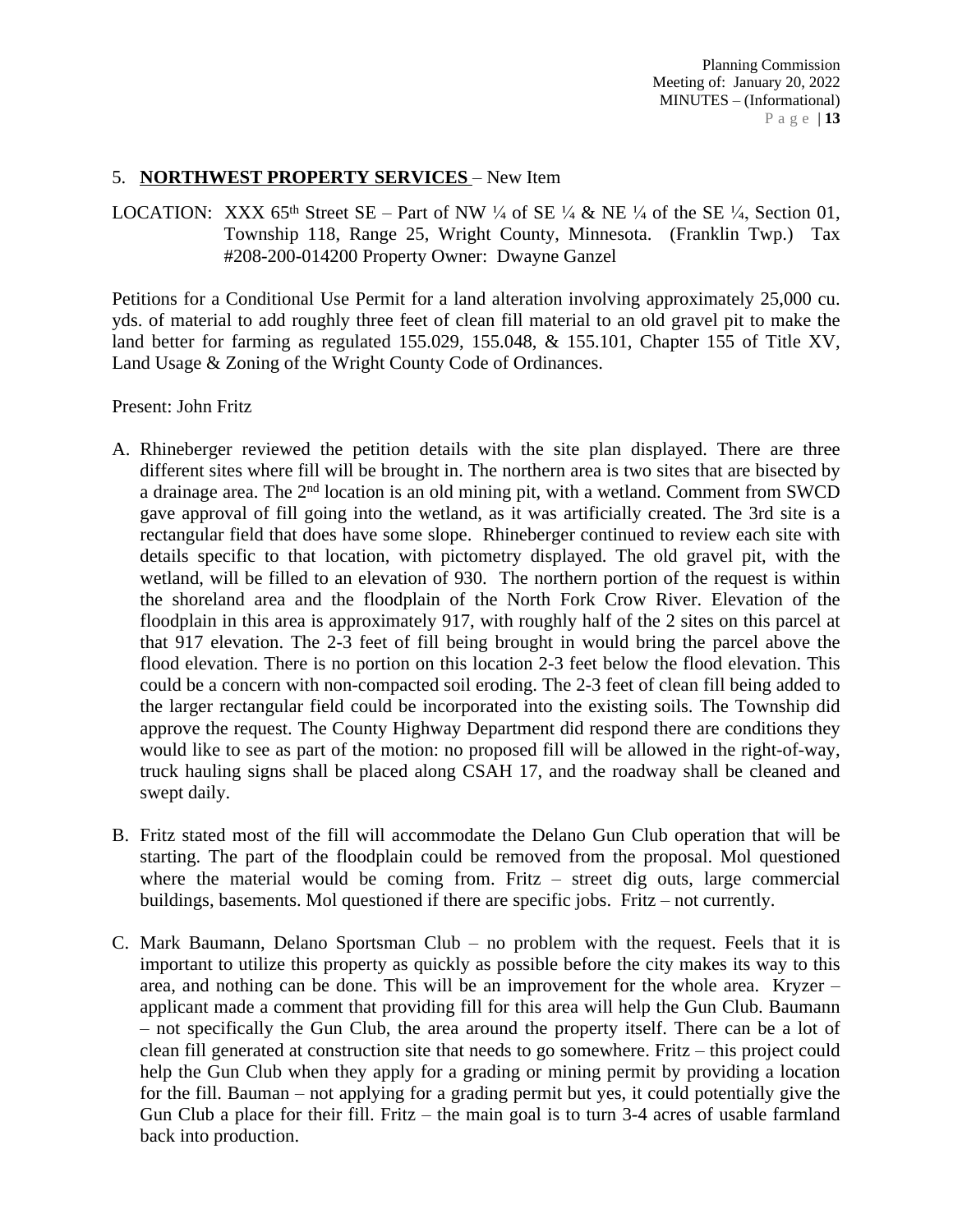## 5. **NORTHWEST PROPERTY SERVICES** – New Item

LOCATION: XXX 65<sup>th</sup> Street SE – Part of NW  $\frac{1}{4}$  of SE  $\frac{1}{4}$  & NE  $\frac{1}{4}$  of the SE  $\frac{1}{4}$ , Section 01, Township 118, Range 25, Wright County, Minnesota. (Franklin Twp.) Tax #208-200-014200 Property Owner: Dwayne Ganzel

Petitions for a Conditional Use Permit for a land alteration involving approximately 25,000 cu. yds. of material to add roughly three feet of clean fill material to an old gravel pit to make the land better for farming as regulated 155.029, 155.048, & 155.101, Chapter 155 of Title XV, Land Usage & Zoning of the Wright County Code of Ordinances.

Present: John Fritz

- A. Rhineberger reviewed the petition details with the site plan displayed. There are three different sites where fill will be brought in. The northern area is two sites that are bisected by a drainage area. The 2<sup>nd</sup> location is an old mining pit, with a wetland. Comment from SWCD gave approval of fill going into the wetland, as it was artificially created. The 3rd site is a rectangular field that does have some slope. Rhineberger continued to review each site with details specific to that location, with pictometry displayed. The old gravel pit, with the wetland, will be filled to an elevation of 930. The northern portion of the request is within the shoreland area and the floodplain of the North Fork Crow River. Elevation of the floodplain in this area is approximately 917, with roughly half of the 2 sites on this parcel at that 917 elevation. The 2-3 feet of fill being brought in would bring the parcel above the flood elevation. There is no portion on this location 2-3 feet below the flood elevation. This could be a concern with non-compacted soil eroding. The 2-3 feet of clean fill being added to the larger rectangular field could be incorporated into the existing soils. The Township did approve the request. The County Highway Department did respond there are conditions they would like to see as part of the motion: no proposed fill will be allowed in the right-of-way, truck hauling signs shall be placed along CSAH 17, and the roadway shall be cleaned and swept daily.
- B. Fritz stated most of the fill will accommodate the Delano Gun Club operation that will be starting. The part of the floodplain could be removed from the proposal. Mol questioned where the material would be coming from. Fritz – street dig outs, large commercial buildings, basements. Mol questioned if there are specific jobs. Fritz – not currently.
- C. Mark Baumann, Delano Sportsman Club no problem with the request. Feels that it is important to utilize this property as quickly as possible before the city makes its way to this area, and nothing can be done. This will be an improvement for the whole area. Kryzer – applicant made a comment that providing fill for this area will help the Gun Club. Baumann – not specifically the Gun Club, the area around the property itself. There can be a lot of clean fill generated at construction site that needs to go somewhere. Fritz – this project could help the Gun Club when they apply for a grading or mining permit by providing a location for the fill. Bauman – not applying for a grading permit but yes, it could potentially give the Gun Club a place for their fill. Fritz – the main goal is to turn 3-4 acres of usable farmland back into production.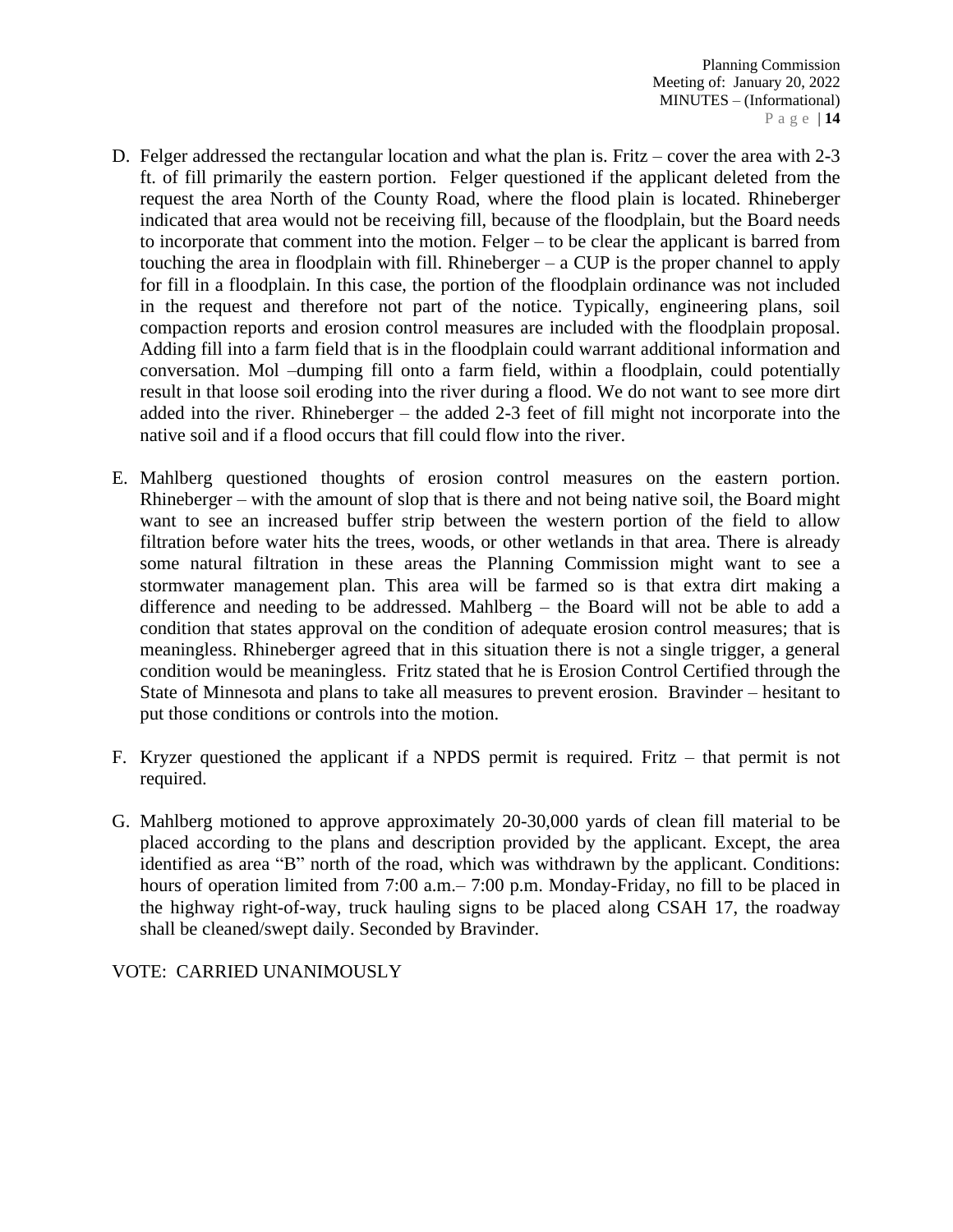- D. Felger addressed the rectangular location and what the plan is. Fritz cover the area with 2-3 ft. of fill primarily the eastern portion. Felger questioned if the applicant deleted from the request the area North of the County Road, where the flood plain is located. Rhineberger indicated that area would not be receiving fill, because of the floodplain, but the Board needs to incorporate that comment into the motion. Felger – to be clear the applicant is barred from touching the area in floodplain with fill. Rhineberger – a CUP is the proper channel to apply for fill in a floodplain. In this case, the portion of the floodplain ordinance was not included in the request and therefore not part of the notice. Typically, engineering plans, soil compaction reports and erosion control measures are included with the floodplain proposal. Adding fill into a farm field that is in the floodplain could warrant additional information and conversation. Mol –dumping fill onto a farm field, within a floodplain, could potentially result in that loose soil eroding into the river during a flood. We do not want to see more dirt added into the river. Rhineberger – the added 2-3 feet of fill might not incorporate into the native soil and if a flood occurs that fill could flow into the river.
- E. Mahlberg questioned thoughts of erosion control measures on the eastern portion. Rhineberger – with the amount of slop that is there and not being native soil, the Board might want to see an increased buffer strip between the western portion of the field to allow filtration before water hits the trees, woods, or other wetlands in that area. There is already some natural filtration in these areas the Planning Commission might want to see a stormwater management plan. This area will be farmed so is that extra dirt making a difference and needing to be addressed. Mahlberg – the Board will not be able to add a condition that states approval on the condition of adequate erosion control measures; that is meaningless. Rhineberger agreed that in this situation there is not a single trigger, a general condition would be meaningless. Fritz stated that he is Erosion Control Certified through the State of Minnesota and plans to take all measures to prevent erosion. Bravinder – hesitant to put those conditions or controls into the motion.
- F. Kryzer questioned the applicant if a NPDS permit is required. Fritz that permit is not required.
- G. Mahlberg motioned to approve approximately 20-30,000 yards of clean fill material to be placed according to the plans and description provided by the applicant. Except, the area identified as area "B" north of the road, which was withdrawn by the applicant. Conditions: hours of operation limited from 7:00 a.m. – 7:00 p.m. Monday-Friday, no fill to be placed in the highway right-of-way, truck hauling signs to be placed along CSAH 17, the roadway shall be cleaned/swept daily. Seconded by Bravinder.